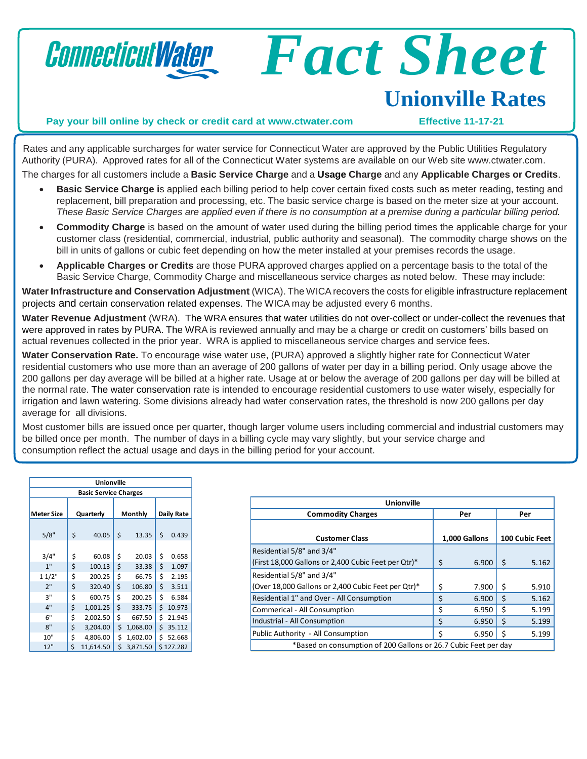

# *Fact Sheet*  **Unionville Rates**

#### **Pay your bill online by check or credit card at [www.ctwater.com](http://www.ctwater.com/) Effective 11-17-21**

Rates and any applicable surcharges for water service for Connecticut Water are approved by the Public Utilities Regulatory Authority (PURA). Approved rates for all of the Connecticut Water systems are available on our Web site [www.ctwater.com.](http://www.ctwater.com/) The charges for all customers include a **Basic Service Charge** and a **Usage Charge** and any **Applicable Charges or Credits**.

- **Basic Service Charge i**s applied each billing period to help cover certain fixed costs such as meter reading, testing and replacement, bill preparation and processing, etc. The basic service charge is based on the meter size at your account. These Basic Service Charges are applied even if there is no consumption at a premise during a particular billing period.
- **Commodity Charge** is based on the amount of water used during the billing period times the applicable charge for your customer class (residential, commercial, industrial, public authority and seasonal). The commodity charge shows on the bill in units of gallons or cubic feet depending on how the meter installed at your premises records the usage.
- **Applicable Charges or Credits** are those PURA approved charges applied on a percentage basis to the total of the Basic Service Charge, Commodity Charge and miscellaneous service charges as noted below. These may include:

**Water Infrastructure and Conservation Adjustment** (WICA). The WICArecovers the costs for eligible infrastructure replacement projects and certain conservation related expenses. The WICA may be adjusted every 6 months.

**Water Revenue Adjustment** (WRA). The WRA ensures that water utilities do not over-collect or under-collect the revenues that were approved in rates by PURA. The WRA is reviewed annually and may be a charge or credit on customers' bills based on actual revenues collected in the prior year. WRA is applied to miscellaneous service charges and service fees.

**Water Conservation Rate.** To encourage wise water use, (PURA) approved a slightly higher rate for Connecticut Water residential customers who use more than an average of 200 gallons of water per day in a billing period. Only usage above the 200 gallons per day average will be billed at a higher rate. Usage at or below the average of 200 gallons per day will be billed at the normal rate. The water conservation rate is intended to encourage residential customers to use water wisely, especially for irrigation and lawn watering. Some divisions already had water conservation rates, the threshold is now 200 gallons per day average for all divisions.

Most customer bills are issued once per quarter, though larger volume users including commercial and industrial customers may be billed once per month. The number of days in a billing cycle may vary slightly, but your service charge and consumption reflect the actual usage and days in the billing period for your account.

| Unionville                   |           |           |         |          |            |         |
|------------------------------|-----------|-----------|---------|----------|------------|---------|
| <b>Basic Service Charges</b> |           |           |         |          |            |         |
| <b>Meter Size</b>            | Quarterly |           | Monthly |          | Daily Rate |         |
| 5/8"                         | \$        | 40.05     | \$      | 13.35    | \$         | 0.439   |
| 3/4"                         | \$        | 60.08     | \$      | 20.03    | \$         | 0.658   |
| 1"                           | \$        | 100.13    | \$      | 33.38    | \$         | 1.097   |
| 11/2"                        | \$        | 200.25    | \$      | 66.75    | \$         | 2.195   |
| 2"                           | \$        | 320.40    | \$      | 106.80   | \$         | 3.511   |
| 3"                           | \$        | 600.75    | \$      | 200.25   | \$         | 6.584   |
| 4"                           | \$        | 1,001.25  | \$      | 333.75   | \$         | 10.973  |
| 6"                           | \$        | 2,002.50  | \$      | 667.50   | \$         | 21.945  |
| 8"                           | \$        | 3,204.00  | \$      | 1,068.00 | \$         | 35.112  |
| 10"                          | \$        | 4,806.00  | \$      | 1,602.00 | \$         | 52.668  |
| 12"                          | \$        | 11,614.50 | \$      | 3,871.50 | Ś.         | 127.282 |

| <b>Unionville</b>                                               |    |               |    |                |  |
|-----------------------------------------------------------------|----|---------------|----|----------------|--|
| <b>Commodity Charges</b>                                        |    | Per           |    | Per            |  |
|                                                                 |    |               |    |                |  |
| <b>Customer Class</b>                                           |    | 1,000 Gallons |    | 100 Cubic Feet |  |
| Residential 5/8" and 3/4"                                       |    |               |    |                |  |
| (First 18,000 Gallons or 2,400 Cubic Feet per Qtr)*             | \$ | 6.900         | \$ | 5.162          |  |
| Residential 5/8" and 3/4"                                       |    |               |    |                |  |
| (Over 18,000 Gallons or 2,400 Cubic Feet per Qtr)*              | \$ | 7.900         | Ś  | 5.910          |  |
| Residential 1" and Over - All Consumption                       |    | 6.900         | Ś  | 5.162          |  |
| Commerical - All Consumption                                    |    | 6.950         | Ś  | 5.199          |  |
| Industrial - All Consumption                                    | \$ | 6.950         | \$ | 5.199          |  |
| Public Authority - All Consumption                              |    | 6.950         | Ś  | 5.199          |  |
| *Based on consumption of 200 Gallons or 26.7 Cubic Feet per day |    |               |    |                |  |